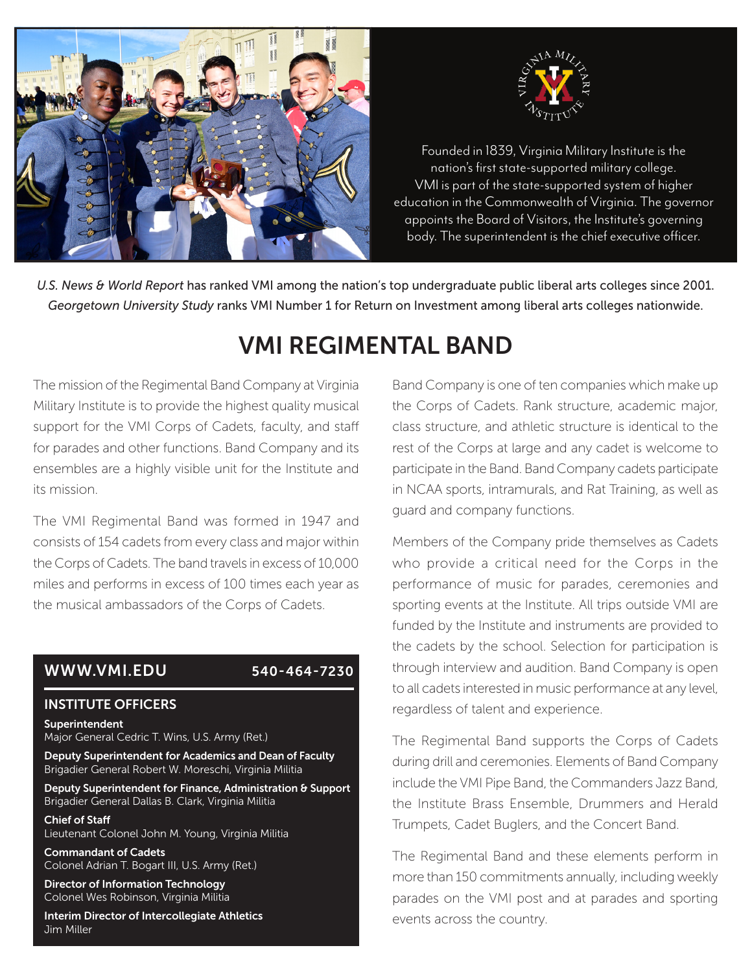



nation's first state-supported military college.<br>Nation's first state-supported military college. VMI is part of the state-supported system of higher education in the Commonwealth of Virginia. The governor appoints the Board of Visitors, the Institute's governing Founded in 1839, Virginia Military Institute is the body. The superintendent is the chief executive officer.

*U.S. News & World Report* has ranked VMI among the nation's top undergraduate public liberal arts colleges since 2001. *Georgetown University Study* ranks VMI Number 1 for Return on Investment among liberal arts colleges nationwide.

# VMI REGIMENTAL BAND

The mission of the Regimental Band Company at Virginia Military Institute is to provide the highest quality musical support for the VMI Corps of Cadets, faculty, and staff for parades and other functions. Band Company and its ensembles are a highly visible unit for the Institute and its mission.

The VMI Regimental Band was formed in 1947 and consists of 154 cadets from every class and major within the Corps of Cadets. The band travels in excess of 10,000 miles and performs in excess of 100 times each year as the musical ambassadors of the Corps of Cadets.

### WWW.VMI.EDU 540-464-7230

### INSTITUTE OFFICERS

Superintendent Major General Cedric T. Wins, U.S. Army (Ret.)

Deputy Superintendent for Academics and Dean of Faculty Brigadier General Robert W. Moreschi, Virginia Militia

Deputy Superintendent for Finance, Administration & Support Brigadier General Dallas B. Clark, Virginia Militia

Chief of Staff Lieutenant Colonel John M. Young, Virginia Militia

Commandant of Cadets Colonel Adrian T. Bogart III, U.S. Army (Ret.)

Director of Information Technology Colonel Wes Robinson, Virginia Militia

Interim Director of Intercollegiate Athletics Jim Miller

Band Company is one of ten companies which make up the Corps of Cadets. Rank structure, academic major, class structure, and athletic structure is identical to the rest of the Corps at large and any cadet is welcome to participate in the Band. Band Company cadets participate in NCAA sports, intramurals, and Rat Training, as well as guard and company functions.

Members of the Company pride themselves as Cadets who provide a critical need for the Corps in the performance of music for parades, ceremonies and sporting events at the Institute. All trips outside VMI are funded by the Institute and instruments are provided to the cadets by the school. Selection for participation is through interview and audition. Band Company is open to all cadets interested in music performance at any level, regardless of talent and experience.

The Regimental Band supports the Corps of Cadets during drill and ceremonies. Elements of Band Company include the VMI Pipe Band, the Commanders Jazz Band, the Institute Brass Ensemble, Drummers and Herald Trumpets, Cadet Buglers, and the Concert Band.

The Regimental Band and these elements perform in more than 150 commitments annually, including weekly parades on the VMI post and at parades and sporting events across the country.